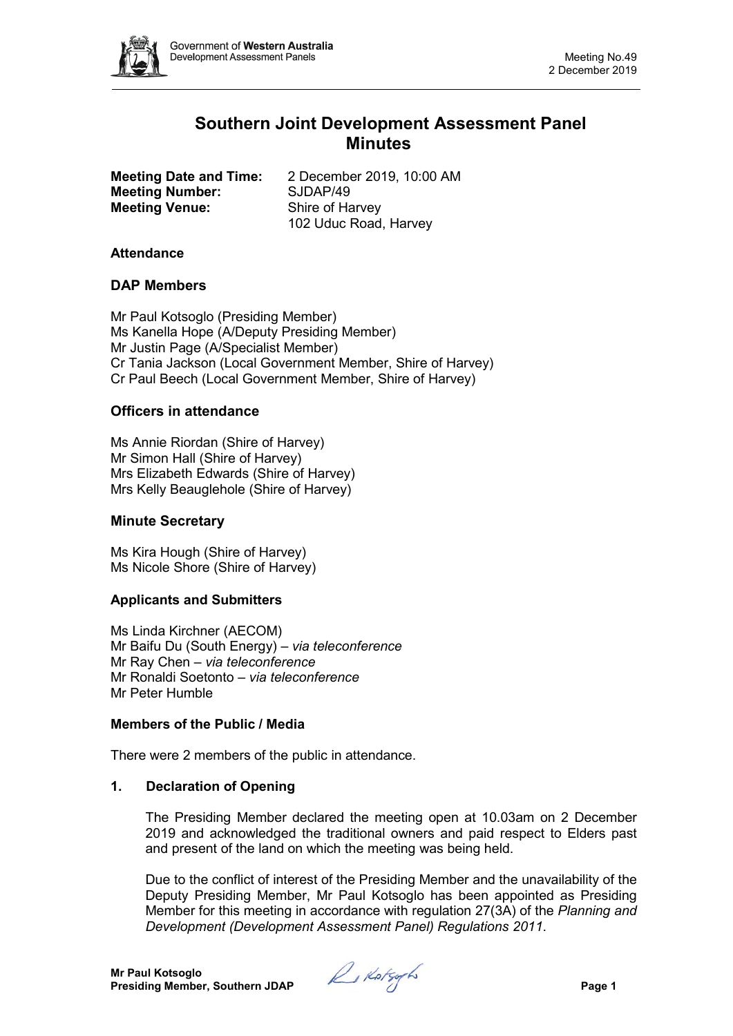

# **Southern Joint Development Assessment Panel Minutes**

**Meeting Number:** SJDAP/49<br> **Meeting Venue:** Shire of Harvey **Meeting Venue:** 

**Meeting Date and Time:** 2 December 2019, 10:00 AM 102 Uduc Road, Harvey

# **Attendance**

# **DAP Members**

Mr Paul Kotsoglo (Presiding Member) Ms Kanella Hope (A/Deputy Presiding Member) Mr Justin Page (A/Specialist Member) Cr Tania Jackson (Local Government Member, Shire of Harvey) Cr Paul Beech (Local Government Member, Shire of Harvey)

## **Officers in attendance**

Ms Annie Riordan (Shire of Harvey) Mr Simon Hall (Shire of Harvey) Mrs Elizabeth Edwards (Shire of Harvey) Mrs Kelly Beauglehole (Shire of Harvey)

#### **Minute Secretary**

Ms Kira Hough (Shire of Harvey) Ms Nicole Shore (Shire of Harvey)

# **Applicants and Submitters**

Ms Linda Kirchner (AECOM) Mr Baifu Du (South Energy) – *via teleconference* Mr Ray Chen – *via teleconference* Mr Ronaldi Soetonto – *via teleconference* Mr Peter Humble

## **Members of the Public / Media**

There were 2 members of the public in attendance.

## **1. Declaration of Opening**

The Presiding Member declared the meeting open at 10.03am on 2 December 2019 and acknowledged the traditional owners and paid respect to Elders past and present of the land on which the meeting was being held.

Due to the conflict of interest of the Presiding Member and the unavailability of the Deputy Presiding Member, Mr Paul Kotsoglo has been appointed as Presiding Member for this meeting in accordance with regulation 27(3A) of the *Planning and Development (Development Assessment Panel) Regulations 2011*.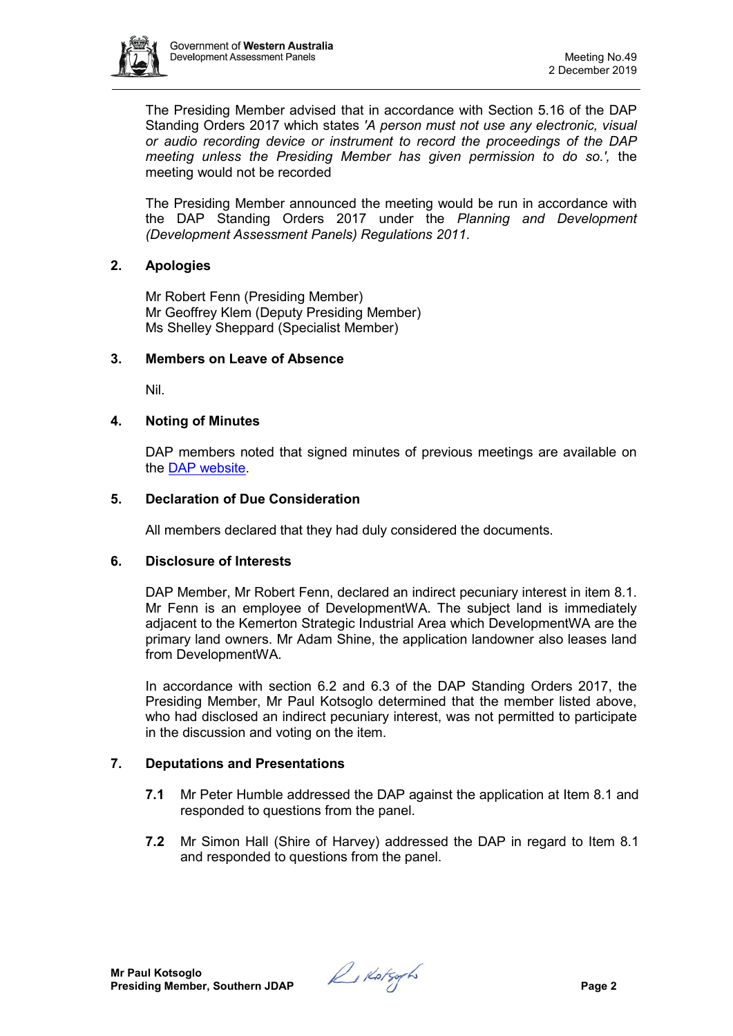

The Presiding Member advised that in accordance with Section 5.16 of the DAP Standing Orders 2017 which states *'A person must not use any electronic, visual or audio recording device or instrument to record the proceedings of the DAP meeting unless the Presiding Member has given permission to do so.',* the meeting would not be recorded

The Presiding Member announced the meeting would be run in accordance with the DAP Standing Orders 2017 under the *Planning and Development (Development Assessment Panels) Regulations 2011*.

# **2. Apologies**

Mr Robert Fenn (Presiding Member) Mr Geoffrey Klem (Deputy Presiding Member) Ms Shelley Sheppard (Specialist Member)

## **3. Members on Leave of Absence**

Nil.

# **4. Noting of Minutes**

DAP members noted that signed minutes of previous meetings are available on the [DAP website.](https://www.dplh.wa.gov.au/about/development-assessment-panels/daps-agendas-and-minutes)

## **5. Declaration of Due Consideration**

All members declared that they had duly considered the documents.

## **6. Disclosure of Interests**

DAP Member, Mr Robert Fenn, declared an indirect pecuniary interest in item 8.1. Mr Fenn is an employee of DevelopmentWA. The subject land is immediately adjacent to the Kemerton Strategic Industrial Area which DevelopmentWA are the primary land owners. Mr Adam Shine, the application landowner also leases land from DevelopmentWA.

In accordance with section 6.2 and 6.3 of the DAP Standing Orders 2017, the Presiding Member, Mr Paul Kotsoglo determined that the member listed above, who had disclosed an indirect pecuniary interest, was not permitted to participate in the discussion and voting on the item.

# **7. Deputations and Presentations**

- **7.1** Mr Peter Humble addressed the DAP against the application at Item 8.1 and responded to questions from the panel.
- **7.2** Mr Simon Hall (Shire of Harvey) addressed the DAP in regard to Item 8.1 and responded to questions from the panel.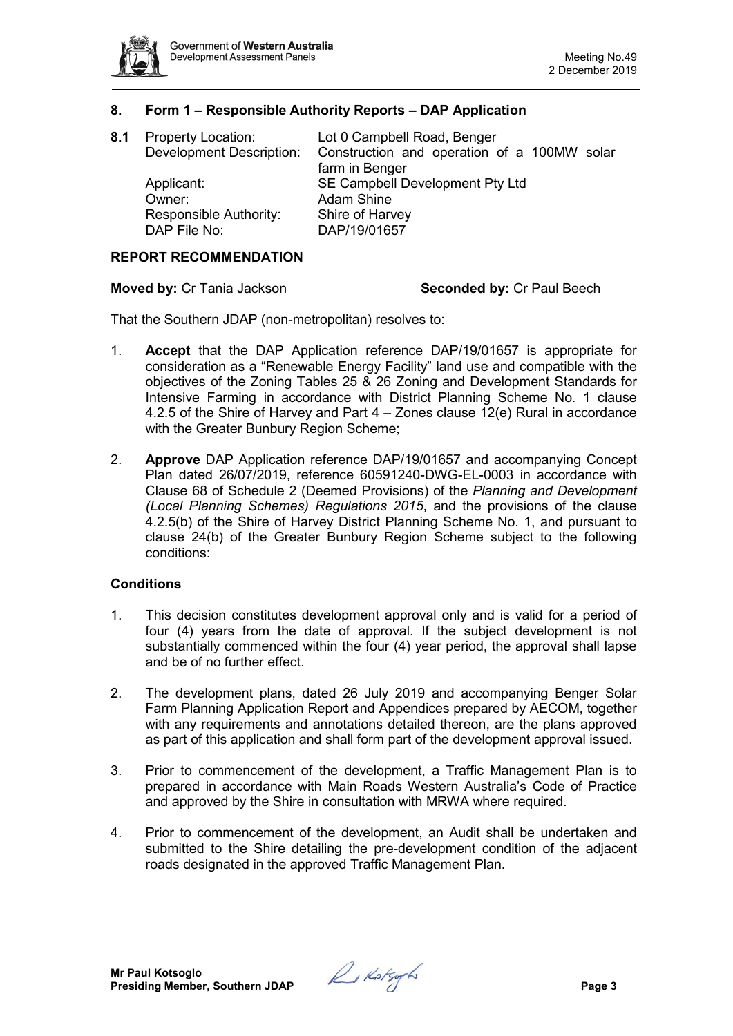

## **8. Form 1 – Responsible Authority Reports – DAP Application**

| 8.1 | <b>Property Location:</b><br><b>Development Description:</b> | Lot 0 Campbell Road, Benger<br>Construction and operation of a 100MW solar<br>farm in Benger |
|-----|--------------------------------------------------------------|----------------------------------------------------------------------------------------------|
|     | Applicant:<br>Owner:                                         | SE Campbell Development Pty Ltd<br><b>Adam Shine</b>                                         |
|     | Responsible Authority:<br>DAP File No:                       | Shire of Harvey<br>DAP/19/01657                                                              |

#### **REPORT RECOMMENDATION**

#### **Moved by: Cr Tania Jackson <b>Seconded by: Cr Paul Beech**

That the Southern JDAP (non-metropolitan) resolves to:

- 1. **Accept** that the DAP Application reference DAP/19/01657 is appropriate for consideration as a "Renewable Energy Facility" land use and compatible with the objectives of the Zoning Tables 25 & 26 Zoning and Development Standards for Intensive Farming in accordance with District Planning Scheme No. 1 clause 4.2.5 of the Shire of Harvey and Part 4 – Zones clause 12(e) Rural in accordance with the Greater Bunbury Region Scheme;
- 2. **Approve** DAP Application reference DAP/19/01657 and accompanying Concept Plan dated 26/07/2019, reference 60591240-DWG-EL-0003 in accordance with Clause 68 of Schedule 2 (Deemed Provisions) of the *Planning and Development (Local Planning Schemes) Regulations 2015*, and the provisions of the clause 4.2.5(b) of the Shire of Harvey District Planning Scheme No. 1, and pursuant to clause 24(b) of the Greater Bunbury Region Scheme subject to the following conditions:

#### **Conditions**

- 1. This decision constitutes development approval only and is valid for a period of four (4) years from the date of approval. If the subject development is not substantially commenced within the four (4) year period, the approval shall lapse and be of no further effect.
- 2. The development plans, dated 26 July 2019 and accompanying Benger Solar Farm Planning Application Report and Appendices prepared by AECOM, together with any requirements and annotations detailed thereon, are the plans approved as part of this application and shall form part of the development approval issued.
- 3. Prior to commencement of the development, a Traffic Management Plan is to prepared in accordance with Main Roads Western Australia's Code of Practice and approved by the Shire in consultation with MRWA where required.
- 4. Prior to commencement of the development, an Audit shall be undertaken and submitted to the Shire detailing the pre-development condition of the adjacent roads designated in the approved Traffic Management Plan.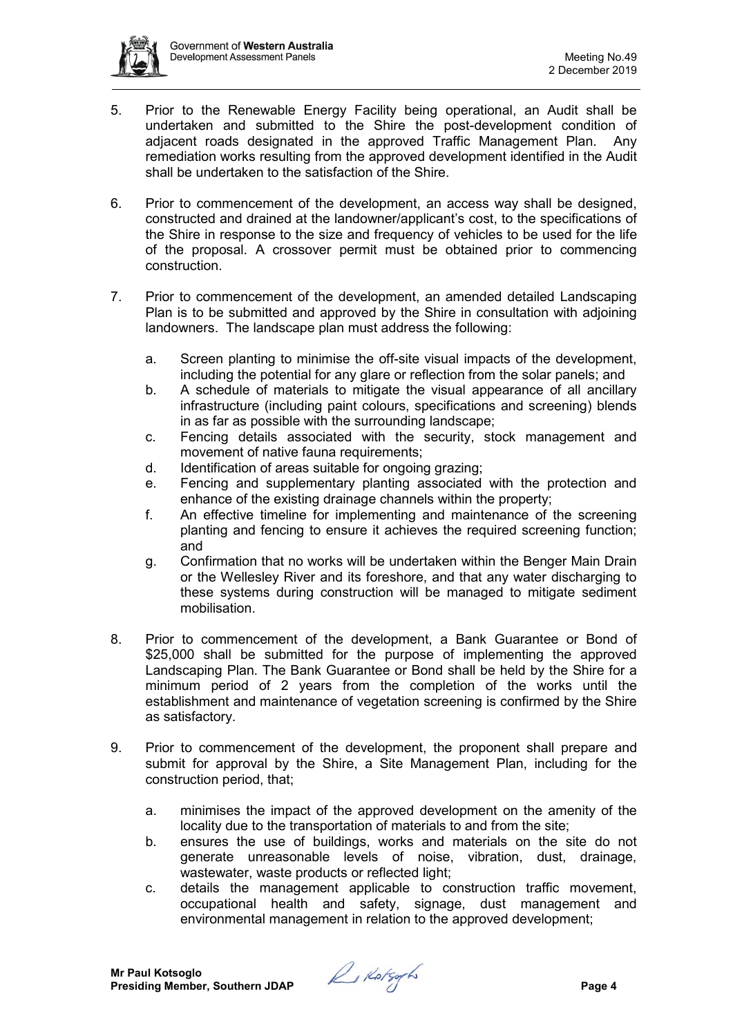- 5. Prior to the Renewable Energy Facility being operational, an Audit shall be undertaken and submitted to the Shire the post-development condition of adjacent roads designated in the approved Traffic Management Plan. Any remediation works resulting from the approved development identified in the Audit shall be undertaken to the satisfaction of the Shire.
- 6. Prior to commencement of the development, an access way shall be designed, constructed and drained at the landowner/applicant's cost, to the specifications of the Shire in response to the size and frequency of vehicles to be used for the life of the proposal. A crossover permit must be obtained prior to commencing construction.
- 7. Prior to commencement of the development, an amended detailed Landscaping Plan is to be submitted and approved by the Shire in consultation with adjoining landowners. The landscape plan must address the following:
	- a. Screen planting to minimise the off-site visual impacts of the development, including the potential for any glare or reflection from the solar panels; and
	- b. A schedule of materials to mitigate the visual appearance of all ancillary infrastructure (including paint colours, specifications and screening) blends in as far as possible with the surrounding landscape;
	- c. Fencing details associated with the security, stock management and movement of native fauna requirements;
	- d. Identification of areas suitable for ongoing grazing;
	- e. Fencing and supplementary planting associated with the protection and enhance of the existing drainage channels within the property;
	- f. An effective timeline for implementing and maintenance of the screening planting and fencing to ensure it achieves the required screening function; and
	- g. Confirmation that no works will be undertaken within the Benger Main Drain or the Wellesley River and its foreshore, and that any water discharging to these systems during construction will be managed to mitigate sediment mobilisation.
- 8. Prior to commencement of the development, a Bank Guarantee or Bond of \$25,000 shall be submitted for the purpose of implementing the approved Landscaping Plan. The Bank Guarantee or Bond shall be held by the Shire for a minimum period of 2 years from the completion of the works until the establishment and maintenance of vegetation screening is confirmed by the Shire as satisfactory.
- 9. Prior to commencement of the development, the proponent shall prepare and submit for approval by the Shire, a Site Management Plan, including for the construction period, that;
	- a. minimises the impact of the approved development on the amenity of the locality due to the transportation of materials to and from the site;
	- b. ensures the use of buildings, works and materials on the site do not generate unreasonable levels of noise, vibration, dust, drainage, wastewater, waste products or reflected light;
	- c. details the management applicable to construction traffic movement, occupational health and safety, signage, dust management and environmental management in relation to the approved development;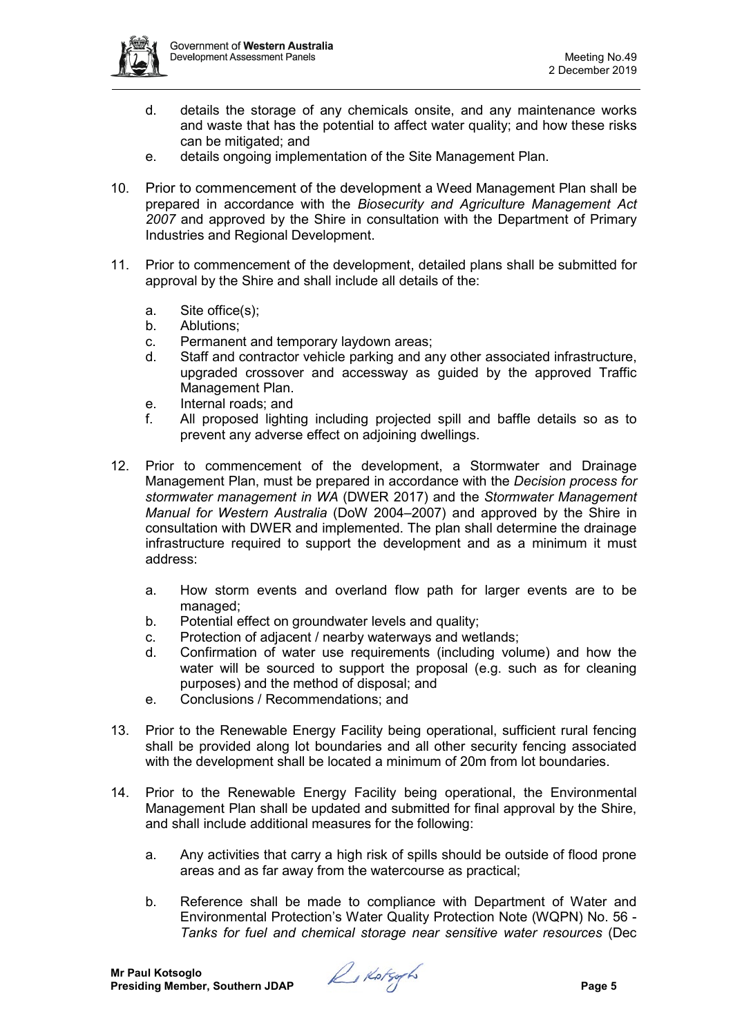

- d. details the storage of any chemicals onsite, and any maintenance works and waste that has the potential to affect water quality; and how these risks can be mitigated; and
- e. details ongoing implementation of the Site Management Plan.
- 10. Prior to commencement of the development a Weed Management Plan shall be prepared in accordance with the *Biosecurity and Agriculture Management Act 2007* and approved by the Shire in consultation with the Department of Primary Industries and Regional Development.
- 11. Prior to commencement of the development, detailed plans shall be submitted for approval by the Shire and shall include all details of the:
	- a. Site office(s);
	- b. Ablutions;
	- c. Permanent and temporary laydown areas;
	- d. Staff and contractor vehicle parking and any other associated infrastructure, upgraded crossover and accessway as guided by the approved Traffic Management Plan.
	- e. Internal roads; and
	- f. All proposed lighting including projected spill and baffle details so as to prevent any adverse effect on adjoining dwellings.
- 12. Prior to commencement of the development, a Stormwater and Drainage Management Plan, must be prepared in accordance with the *Decision process for stormwater management in WA* (DWER 2017) and the *Stormwater Management Manual for Western Australia* (DoW 2004–2007) and approved by the Shire in consultation with DWER and implemented. The plan shall determine the drainage infrastructure required to support the development and as a minimum it must address:
	- a. How storm events and overland flow path for larger events are to be managed;
	- b. Potential effect on groundwater levels and quality;
	- c. Protection of adjacent / nearby waterways and wetlands;
	- d. Confirmation of water use requirements (including volume) and how the water will be sourced to support the proposal (e.g. such as for cleaning purposes) and the method of disposal; and
	- e. Conclusions / Recommendations; and
- 13. Prior to the Renewable Energy Facility being operational, sufficient rural fencing shall be provided along lot boundaries and all other security fencing associated with the development shall be located a minimum of 20m from lot boundaries.
- 14. Prior to the Renewable Energy Facility being operational, the Environmental Management Plan shall be updated and submitted for final approval by the Shire, and shall include additional measures for the following:
	- a. Any activities that carry a high risk of spills should be outside of flood prone areas and as far away from the watercourse as practical;
	- b. Reference shall be made to compliance with Department of Water and Environmental Protection's Water Quality Protection Note (WQPN) No. 56 - *Tanks for fuel and chemical storage near sensitive water resources* (Dec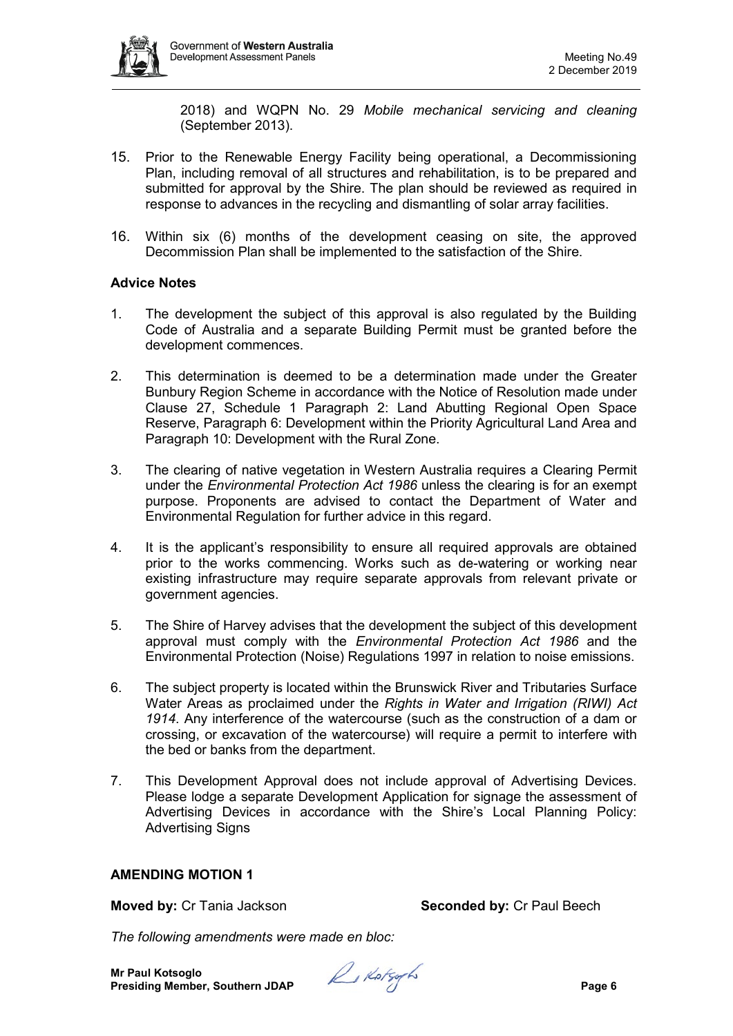

2018) and WQPN No. 29 *Mobile mechanical servicing and cleaning* (September 2013).

- 15. Prior to the Renewable Energy Facility being operational, a Decommissioning Plan, including removal of all structures and rehabilitation, is to be prepared and submitted for approval by the Shire. The plan should be reviewed as required in response to advances in the recycling and dismantling of solar array facilities.
- 16. Within six (6) months of the development ceasing on site, the approved Decommission Plan shall be implemented to the satisfaction of the Shire.

## **Advice Notes**

- 1. The development the subject of this approval is also regulated by the Building Code of Australia and a separate Building Permit must be granted before the development commences.
- 2. This determination is deemed to be a determination made under the Greater Bunbury Region Scheme in accordance with the Notice of Resolution made under Clause 27, Schedule 1 Paragraph 2: Land Abutting Regional Open Space Reserve, Paragraph 6: Development within the Priority Agricultural Land Area and Paragraph 10: Development with the Rural Zone.
- 3. The clearing of native vegetation in Western Australia requires a Clearing Permit under the *Environmental Protection Act 1986* unless the clearing is for an exempt purpose. Proponents are advised to contact the Department of Water and Environmental Regulation for further advice in this regard.
- 4. It is the applicant's responsibility to ensure all required approvals are obtained prior to the works commencing. Works such as de-watering or working near existing infrastructure may require separate approvals from relevant private or government agencies.
- 5. The Shire of Harvey advises that the development the subject of this development approval must comply with the *Environmental Protection Act 1986* and the Environmental Protection (Noise) Regulations 1997 in relation to noise emissions.
- 6. The subject property is located within the Brunswick River and Tributaries Surface Water Areas as proclaimed under the *Rights in Water and Irrigation (RIWI) Act 1914*. Any interference of the watercourse (such as the construction of a dam or crossing, or excavation of the watercourse) will require a permit to interfere with the bed or banks from the department.
- 7. This Development Approval does not include approval of Advertising Devices. Please lodge a separate Development Application for signage the assessment of Advertising Devices in accordance with the Shire's Local Planning Policy: Advertising Signs

#### **AMENDING MOTION 1**

**Moved by:** Cr Tania Jackson **Seconded by:** Cr Paul Beech

*The following amendments were made en bloc:*

**Mr Paul Kotsoglo Presiding Member, Southern JDAP** *Page 6* **Presiding Member, Southern JDAP**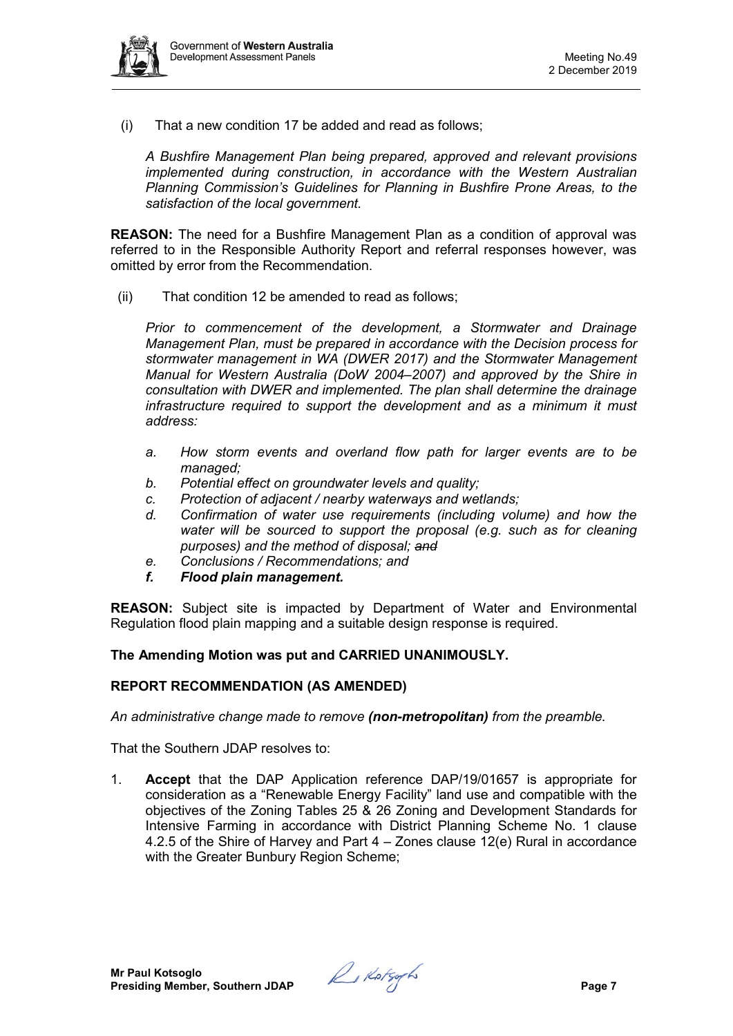

(i) That a new condition 17 be added and read as follows;

*A Bushfire Management Plan being prepared, approved and relevant provisions implemented during construction, in accordance with the Western Australian Planning Commission's Guidelines for Planning in Bushfire Prone Areas, to the satisfaction of the local government.*

**REASON:** The need for a Bushfire Management Plan as a condition of approval was referred to in the Responsible Authority Report and referral responses however, was omitted by error from the Recommendation.

(ii) That condition 12 be amended to read as follows;

*Prior to commencement of the development, a Stormwater and Drainage Management Plan, must be prepared in accordance with the Decision process for stormwater management in WA (DWER 2017) and the Stormwater Management Manual for Western Australia (DoW 2004–2007) and approved by the Shire in consultation with DWER and implemented. The plan shall determine the drainage infrastructure required to support the development and as a minimum it must address:* 

- *a. How storm events and overland flow path for larger events are to be managed;*
- *b. Potential effect on groundwater levels and quality;*
- *c. Protection of adjacent / nearby waterways and wetlands;*
- *d. Confirmation of water use requirements (including volume) and how the water will be sourced to support the proposal (e.g. such as for cleaning purposes) and the method of disposal; and*
- *e. Conclusions / Recommendations; and*
- *f. Flood plain management.*

**REASON:** Subject site is impacted by Department of Water and Environmental Regulation flood plain mapping and a suitable design response is required.

#### **The Amending Motion was put and CARRIED UNANIMOUSLY.**

#### **REPORT RECOMMENDATION (AS AMENDED)**

*An administrative change made to remove (non-metropolitan) from the preamble.*

That the Southern JDAP resolves to:

1. **Accept** that the DAP Application reference DAP/19/01657 is appropriate for consideration as a "Renewable Energy Facility" land use and compatible with the objectives of the Zoning Tables 25 & 26 Zoning and Development Standards for Intensive Farming in accordance with District Planning Scheme No. 1 clause 4.2.5 of the Shire of Harvey and Part 4 – Zones clause 12(e) Rural in accordance with the Greater Bunbury Region Scheme;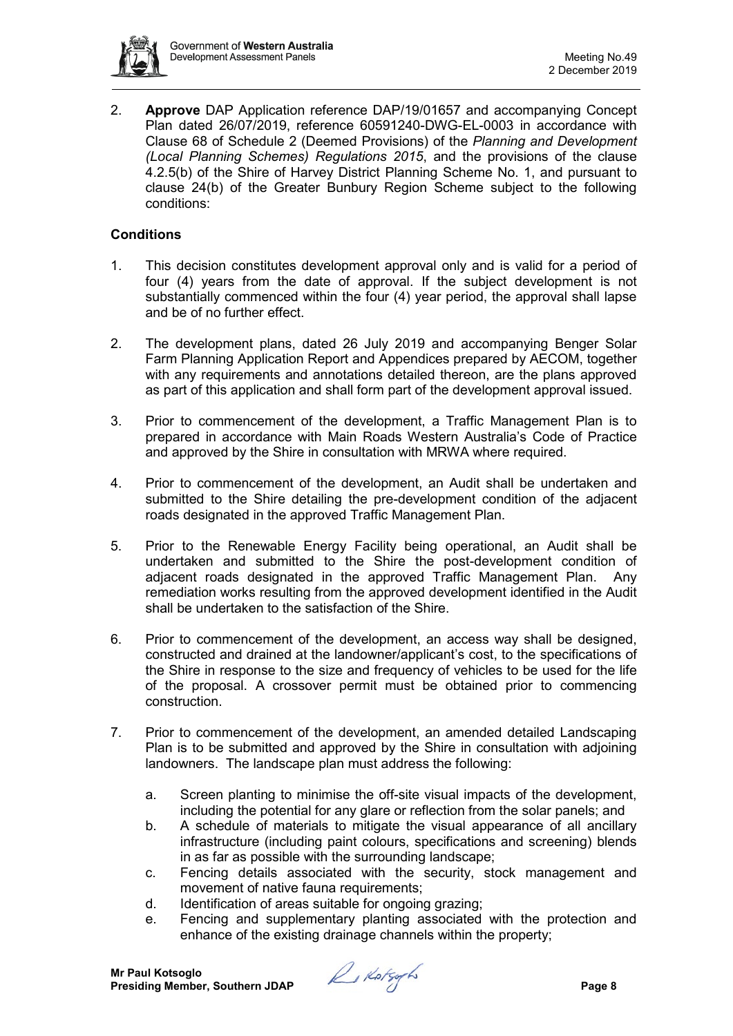

2. **Approve** DAP Application reference DAP/19/01657 and accompanying Concept Plan dated 26/07/2019, reference 60591240-DWG-EL-0003 in accordance with Clause 68 of Schedule 2 (Deemed Provisions) of the *Planning and Development (Local Planning Schemes) Regulations 2015*, and the provisions of the clause 4.2.5(b) of the Shire of Harvey District Planning Scheme No. 1, and pursuant to clause 24(b) of the Greater Bunbury Region Scheme subject to the following conditions:

# **Conditions**

- 1. This decision constitutes development approval only and is valid for a period of four (4) years from the date of approval. If the subject development is not substantially commenced within the four (4) year period, the approval shall lapse and be of no further effect.
- 2. The development plans, dated 26 July 2019 and accompanying Benger Solar Farm Planning Application Report and Appendices prepared by AECOM, together with any requirements and annotations detailed thereon, are the plans approved as part of this application and shall form part of the development approval issued.
- 3. Prior to commencement of the development, a Traffic Management Plan is to prepared in accordance with Main Roads Western Australia's Code of Practice and approved by the Shire in consultation with MRWA where required.
- 4. Prior to commencement of the development, an Audit shall be undertaken and submitted to the Shire detailing the pre-development condition of the adjacent roads designated in the approved Traffic Management Plan.
- 5. Prior to the Renewable Energy Facility being operational, an Audit shall be undertaken and submitted to the Shire the post-development condition of adjacent roads designated in the approved Traffic Management Plan. Any remediation works resulting from the approved development identified in the Audit shall be undertaken to the satisfaction of the Shire.
- 6. Prior to commencement of the development, an access way shall be designed, constructed and drained at the landowner/applicant's cost, to the specifications of the Shire in response to the size and frequency of vehicles to be used for the life of the proposal. A crossover permit must be obtained prior to commencing construction.
- 7. Prior to commencement of the development, an amended detailed Landscaping Plan is to be submitted and approved by the Shire in consultation with adjoining landowners. The landscape plan must address the following:
	- a. Screen planting to minimise the off-site visual impacts of the development, including the potential for any glare or reflection from the solar panels; and
	- b. A schedule of materials to mitigate the visual appearance of all ancillary infrastructure (including paint colours, specifications and screening) blends in as far as possible with the surrounding landscape;
	- c. Fencing details associated with the security, stock management and movement of native fauna requirements;
	- d. Identification of areas suitable for ongoing grazing;
	- e. Fencing and supplementary planting associated with the protection and enhance of the existing drainage channels within the property;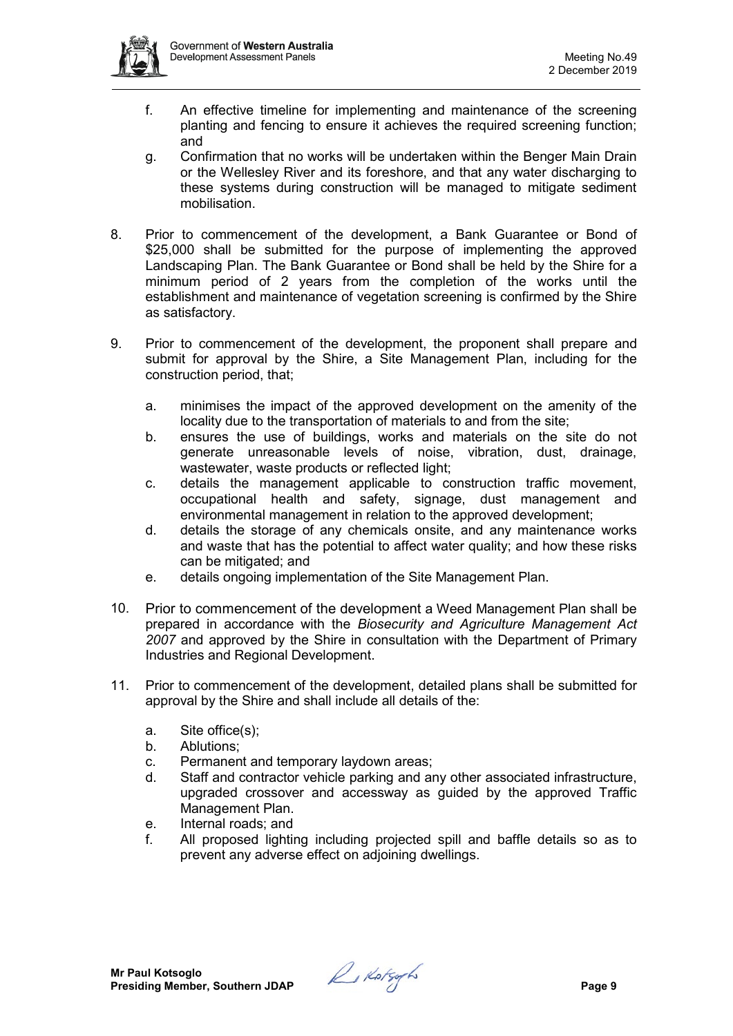

- f. An effective timeline for implementing and maintenance of the screening planting and fencing to ensure it achieves the required screening function; and
- g. Confirmation that no works will be undertaken within the Benger Main Drain or the Wellesley River and its foreshore, and that any water discharging to these systems during construction will be managed to mitigate sediment mobilisation.
- 8. Prior to commencement of the development, a Bank Guarantee or Bond of \$25,000 shall be submitted for the purpose of implementing the approved Landscaping Plan. The Bank Guarantee or Bond shall be held by the Shire for a minimum period of 2 years from the completion of the works until the establishment and maintenance of vegetation screening is confirmed by the Shire as satisfactory.
- 9. Prior to commencement of the development, the proponent shall prepare and submit for approval by the Shire, a Site Management Plan, including for the construction period, that;
	- a. minimises the impact of the approved development on the amenity of the locality due to the transportation of materials to and from the site;
	- b. ensures the use of buildings, works and materials on the site do not generate unreasonable levels of noise, vibration, dust, drainage, wastewater, waste products or reflected light;
	- c. details the management applicable to construction traffic movement, occupational health and safety, signage, dust management and environmental management in relation to the approved development;
	- d. details the storage of any chemicals onsite, and any maintenance works and waste that has the potential to affect water quality; and how these risks can be mitigated; and
	- e. details ongoing implementation of the Site Management Plan.
- 10. Prior to commencement of the development a Weed Management Plan shall be prepared in accordance with the *Biosecurity and Agriculture Management Act 2007* and approved by the Shire in consultation with the Department of Primary Industries and Regional Development.
- 11. Prior to commencement of the development, detailed plans shall be submitted for approval by the Shire and shall include all details of the:
	- a. Site office(s);
	- b. Ablutions;
	- c. Permanent and temporary laydown areas;
	- d. Staff and contractor vehicle parking and any other associated infrastructure, upgraded crossover and accessway as guided by the approved Traffic Management Plan.
	- e. Internal roads; and
	- f. All proposed lighting including projected spill and baffle details so as to prevent any adverse effect on adjoining dwellings.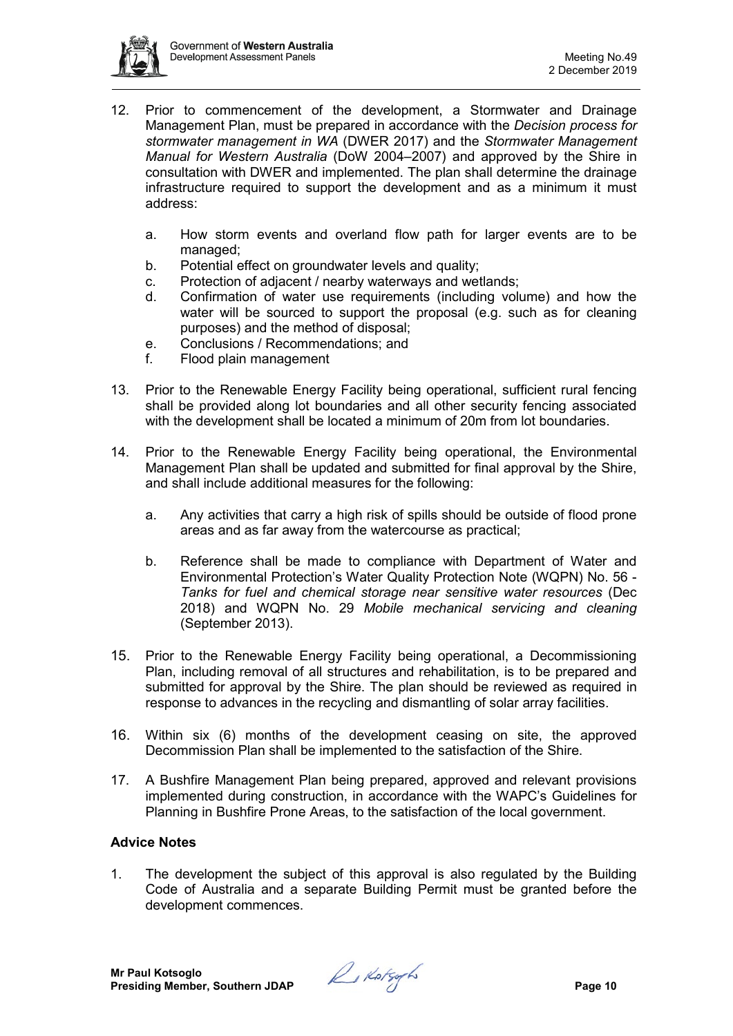

- 12. Prior to commencement of the development, a Stormwater and Drainage Management Plan, must be prepared in accordance with the *Decision process for stormwater management in WA* (DWER 2017) and the *Stormwater Management Manual for Western Australia* (DoW 2004–2007) and approved by the Shire in consultation with DWER and implemented. The plan shall determine the drainage infrastructure required to support the development and as a minimum it must address:
	- a. How storm events and overland flow path for larger events are to be managed;
	- b. Potential effect on groundwater levels and quality;
	- c. Protection of adjacent / nearby waterways and wetlands;
	- d. Confirmation of water use requirements (including volume) and how the water will be sourced to support the proposal (e.g. such as for cleaning purposes) and the method of disposal;
	- e. Conclusions / Recommendations; and
	- f. Flood plain management
- 13. Prior to the Renewable Energy Facility being operational, sufficient rural fencing shall be provided along lot boundaries and all other security fencing associated with the development shall be located a minimum of 20m from lot boundaries.
- 14. Prior to the Renewable Energy Facility being operational, the Environmental Management Plan shall be updated and submitted for final approval by the Shire, and shall include additional measures for the following:
	- a. Any activities that carry a high risk of spills should be outside of flood prone areas and as far away from the watercourse as practical;
	- b. Reference shall be made to compliance with Department of Water and Environmental Protection's Water Quality Protection Note (WQPN) No. 56 - *Tanks for fuel and chemical storage near sensitive water resources* (Dec 2018) and WQPN No. 29 *Mobile mechanical servicing and cleaning* (September 2013).
- 15. Prior to the Renewable Energy Facility being operational, a Decommissioning Plan, including removal of all structures and rehabilitation, is to be prepared and submitted for approval by the Shire. The plan should be reviewed as required in response to advances in the recycling and dismantling of solar array facilities.
- 16. Within six (6) months of the development ceasing on site, the approved Decommission Plan shall be implemented to the satisfaction of the Shire.
- 17. A Bushfire Management Plan being prepared, approved and relevant provisions implemented during construction, in accordance with the WAPC's Guidelines for Planning in Bushfire Prone Areas, to the satisfaction of the local government.

# **Advice Notes**

1. The development the subject of this approval is also regulated by the Building Code of Australia and a separate Building Permit must be granted before the development commences.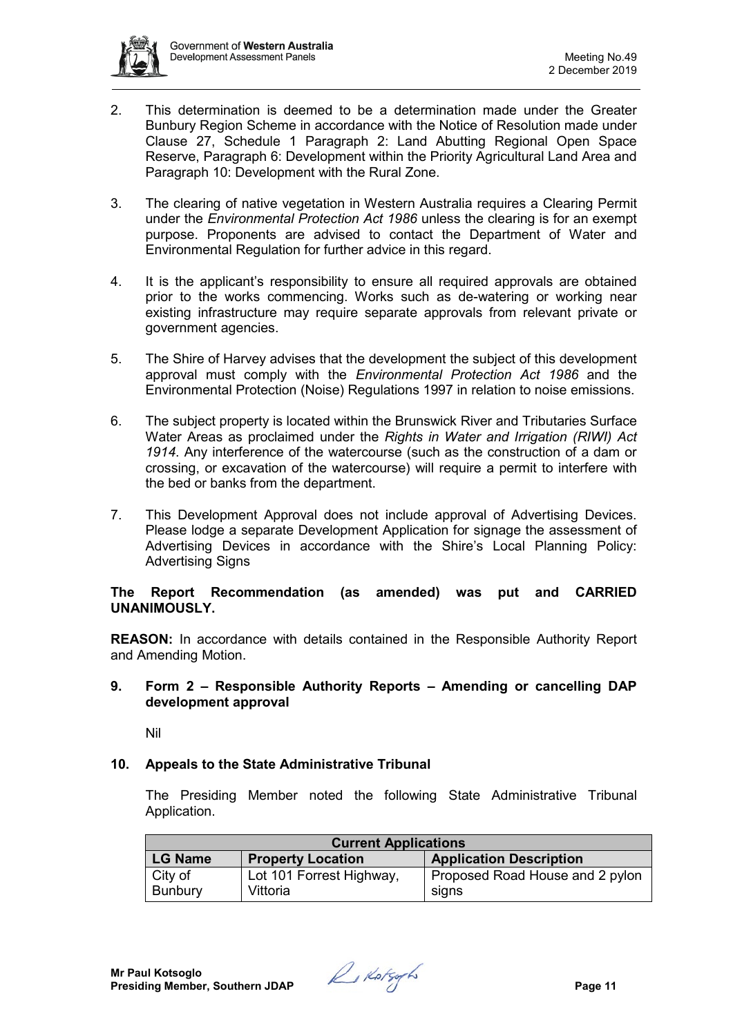

- 2. This determination is deemed to be a determination made under the Greater Bunbury Region Scheme in accordance with the Notice of Resolution made under Clause 27, Schedule 1 Paragraph 2: Land Abutting Regional Open Space Reserve, Paragraph 6: Development within the Priority Agricultural Land Area and Paragraph 10: Development with the Rural Zone.
- 3. The clearing of native vegetation in Western Australia requires a Clearing Permit under the *Environmental Protection Act 1986* unless the clearing is for an exempt purpose. Proponents are advised to contact the Department of Water and Environmental Regulation for further advice in this regard.
- 4. It is the applicant's responsibility to ensure all required approvals are obtained prior to the works commencing. Works such as de-watering or working near existing infrastructure may require separate approvals from relevant private or government agencies.
- 5. The Shire of Harvey advises that the development the subject of this development approval must comply with the *Environmental Protection Act 1986* and the Environmental Protection (Noise) Regulations 1997 in relation to noise emissions.
- 6. The subject property is located within the Brunswick River and Tributaries Surface Water Areas as proclaimed under the *Rights in Water and Irrigation (RIWI) Act 1914*. Any interference of the watercourse (such as the construction of a dam or crossing, or excavation of the watercourse) will require a permit to interfere with the bed or banks from the department.
- 7. This Development Approval does not include approval of Advertising Devices. Please lodge a separate Development Application for signage the assessment of Advertising Devices in accordance with the Shire's Local Planning Policy: Advertising Signs

# **The Report Recommendation (as amended) was put and CARRIED UNANIMOUSLY.**

**REASON:** In accordance with details contained in the Responsible Authority Report and Amending Motion.

## **9. Form 2 – Responsible Authority Reports – Amending or cancelling DAP development approval**

Nil

# **10. Appeals to the State Administrative Tribunal**

The Presiding Member noted the following State Administrative Tribunal Application.

| <b>Current Applications</b> |                          |                                 |  |
|-----------------------------|--------------------------|---------------------------------|--|
| <b>LG Name</b>              | <b>Property Location</b> | <b>Application Description</b>  |  |
| City of                     | Lot 101 Forrest Highway, | Proposed Road House and 2 pylon |  |
| <b>Bunbury</b>              | Vittoria                 | signs                           |  |